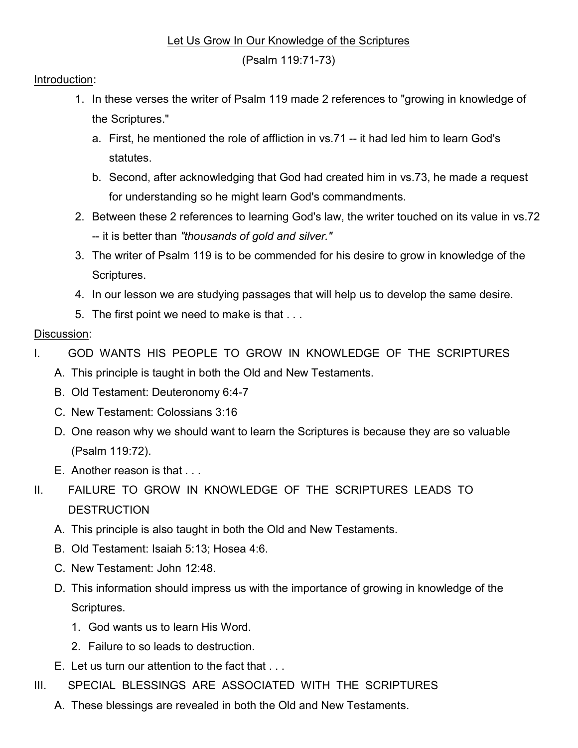## Let Us Grow In Our Knowledge of the Scriptures

(Psalm 119:71-73)

## Introduction:

- 1. In these verses the writer of Psalm 119 made 2 references to "growing in knowledge of the Scriptures."
	- a. First, he mentioned the role of affliction in vs.71 -- it had led him to learn God's statutes.
	- b. Second, after acknowledging that God had created him in vs.73, he made a request for understanding so he might learn God's commandments.
- 2. Between these 2 references to learning God's law, the writer touched on its value in vs.72 -- it is better than "thousands of gold and silver."
- 3. The writer of Psalm 119 is to be commended for his desire to grow in knowledge of the Scriptures.
- 4. In our lesson we are studying passages that will help us to develop the same desire.
- 5. The first point we need to make is that . . .

## Discussion:

- I. GOD WANTS HIS PEOPLE TO GROW IN KNOWLEDGE OF THE SCRIPTURES
	- A. This principle is taught in both the Old and New Testaments.
	- B. Old Testament: Deuteronomy 6:4-7
	- C. New Testament: Colossians 3:16
	- D. One reason why we should want to learn the Scriptures is because they are so valuable (Psalm 119:72).
	- E. Another reason is that . . .
- II. FAILURE TO GROW IN KNOWLEDGE OF THE SCRIPTURES LEADS TO **DESTRUCTION** 
	- A. This principle is also taught in both the Old and New Testaments.
	- B. Old Testament: Isaiah 5:13; Hosea 4:6.
	- C. New Testament: John 12:48.
	- D. This information should impress us with the importance of growing in knowledge of the Scriptures.
		- 1. God wants us to learn His Word.
		- 2. Failure to so leads to destruction.
	- E. Let us turn our attention to the fact that . . .
- III. SPECIAL BLESSINGS ARE ASSOCIATED WITH THE SCRIPTURES
	- A. These blessings are revealed in both the Old and New Testaments.